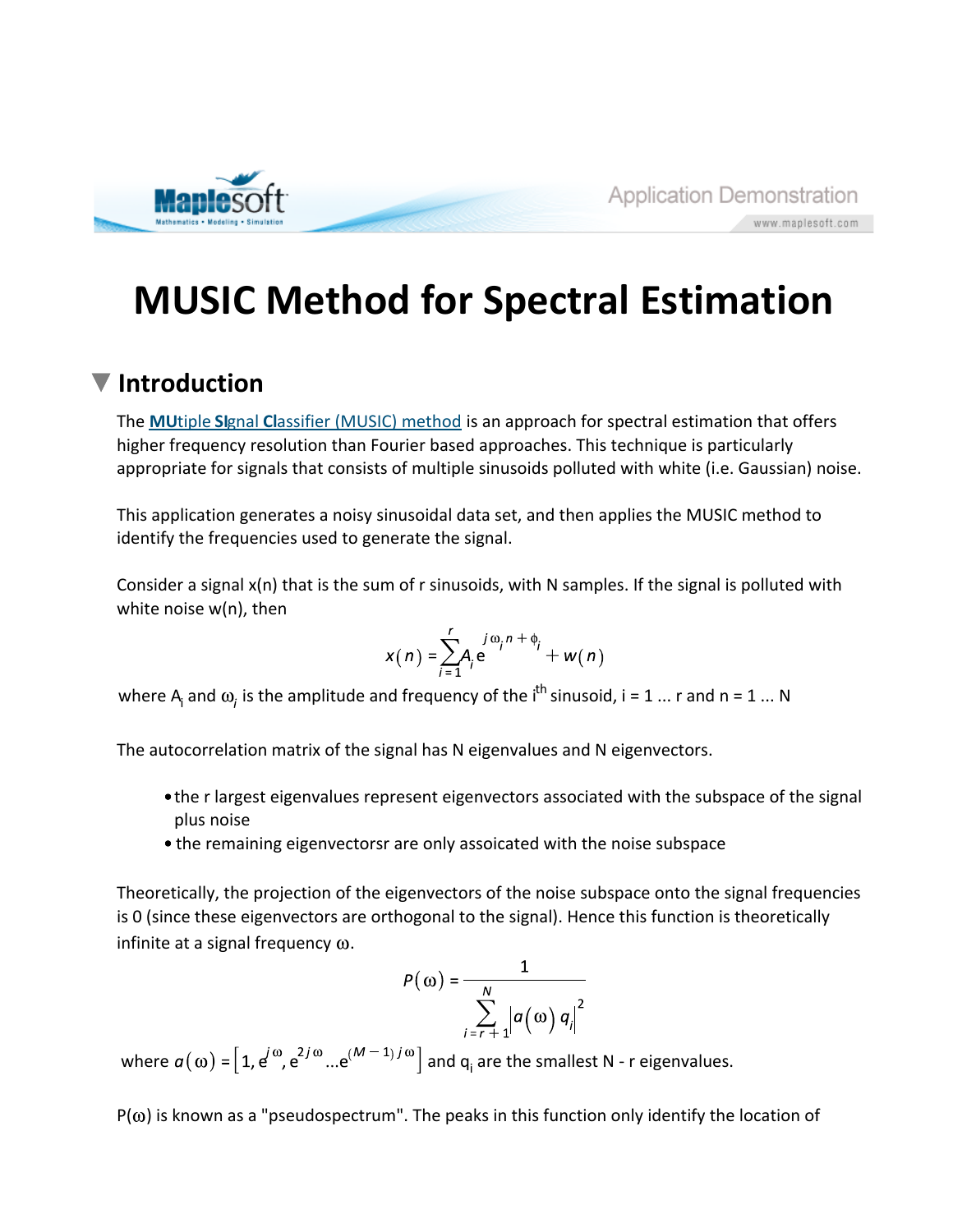

www.maplesoft.com

# **MUSIC Method for Spectral Estimation**

### **Introduction**

The **MU**tiple **SI**gnal **Cl**assifier (MUSIC) method is an approach for spectral estimation that offers higher frequency resolution than Fourier based approaches. This technique is particularly appropriate for signals that consists of multiple sinusoids polluted with white (i.e. Gaussian) noise.

This application generates a noisy sinusoidal data set, and then applies the MUSIC method to identify the frequencies used to generate the signal.

Consider a signal x(n) that is the sum of r sinusoids, with N samples. If the signal is polluted with white noise w(n), then

$$
x(n) = \sum_{j=1}^r A_j e^{j\omega_j n + \phi_j} + w(n)
$$

where  $A_i$  and  $\omega_i$  is the amplitude and frequency of the i<sup>th</sup> sinusoid, i = 1 ... r and n = 1 ... N

The autocorrelation matrix of the signal has N eigenvalues and N eigenvectors.

- the r largest eigenvalues represent eigenvectors associated with the subspace of the signal plus noise
- the remaining eigenvectorsr are only assoicated with the noise subspace

Theoretically, the projection of the eigenvectors of the noise subspace onto the signal frequencies is 0 (since these eigenvectors are orthogonal to the signal). Hence this function is theoretically infinite at a signal frequency  $\omega$ .

$$
P(\omega) = \frac{1}{\sum_{i=r+1}^{N} |a(\omega) q_i|^2}
$$

where  $a(\omega) = [1, e^{\omega}, e^{2\omega} \dots e^{(\omega - 1)T\omega}]$  and  $q_i$  are the smallest N - r eigenvalues.

 $P(\omega)$  is known as a "pseudospectrum". The peaks in this function only identify the location of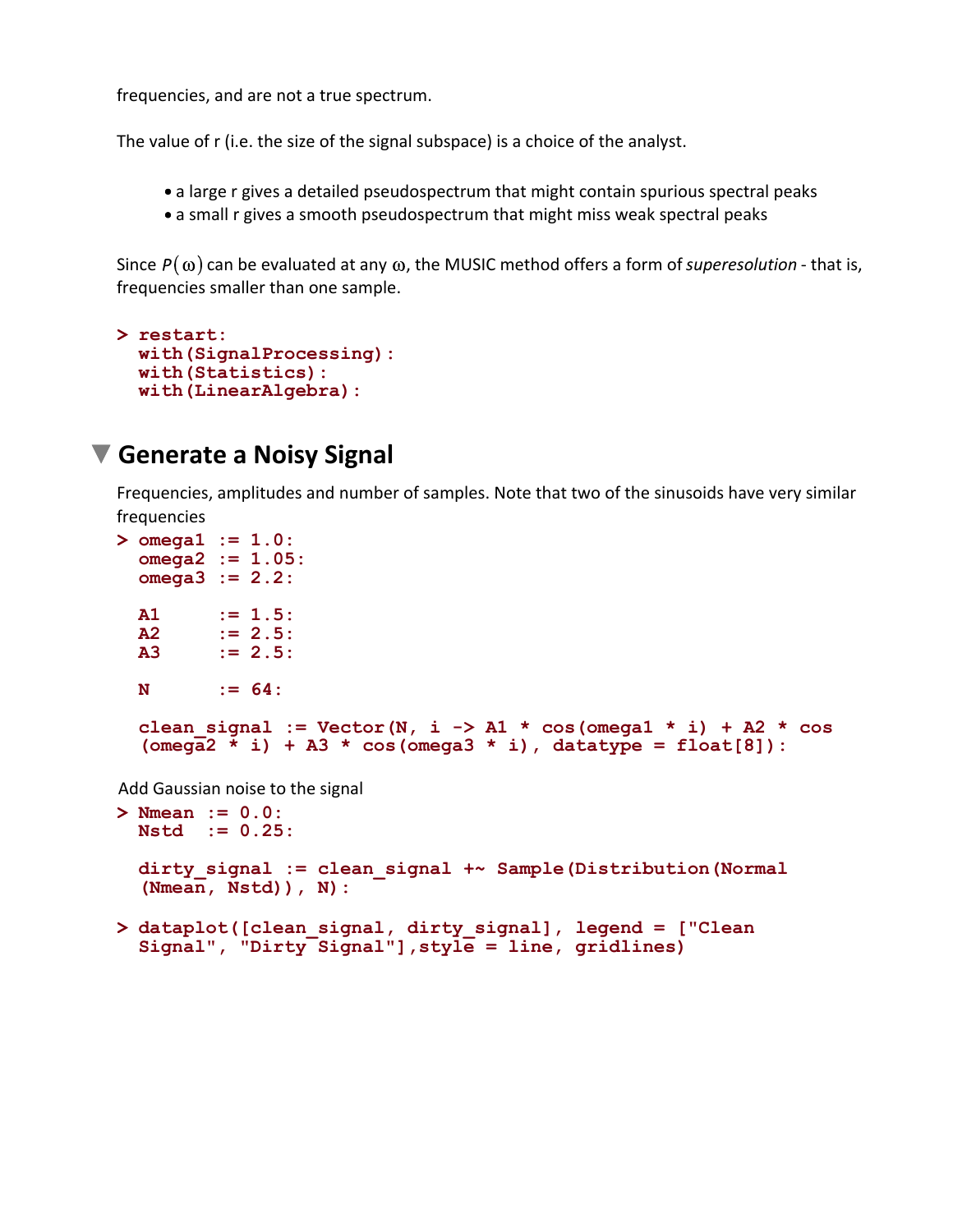frequencies, and are not a true spectrum.

The value of r (i.e. the size of the signal subspace) is a choice of the analyst.

- a large r gives a detailed pseudospectrum that might contain spurious spectral peaks
- a small r gives a smooth pseudospectrum that might miss weak spectral peaks

Since  $P(\omega)$  can be evaluated at any  $\omega$ , the MUSIC method offers a form of *superesolution* - that is, frequencies smaller than one sample.

```
> 
restart:
 with(SignalProcessing):
 with(Statistics):
 with(LinearAlgebra):
```
### **Generate a Noisy Signal**

Frequencies, amplitudes and number of samples. Note that two of the sinusoids have very similar frequencies

```
> 
Nmean := 0.0:
> 
omega1 := 1.0:
 omega2 := 1.05:
 omega3 := 2.2:
 A1 := 1.5:
 A2 := 2.5:
 A3 := 2.5:
 N := 64:
 clean signal := Vector(N, i \rightarrow A1 * cos(omega1 * i) + A2 * cos
  (omega2 * i) + A3 * cos(omega3 * i), datatype = float[8]):
Add Gaussian noise to the signal
 Nstd := 0.25:
```

```
dirty_signal := clean_signal +~ Sample(Distribution(Normal
(Nmean, Nstd)), N):
```

```
> 
dataplot([clean_signal, dirty_signal], legend = ["Clean 
 Signal", "Dirty Signal"],style = line, gridlines)
```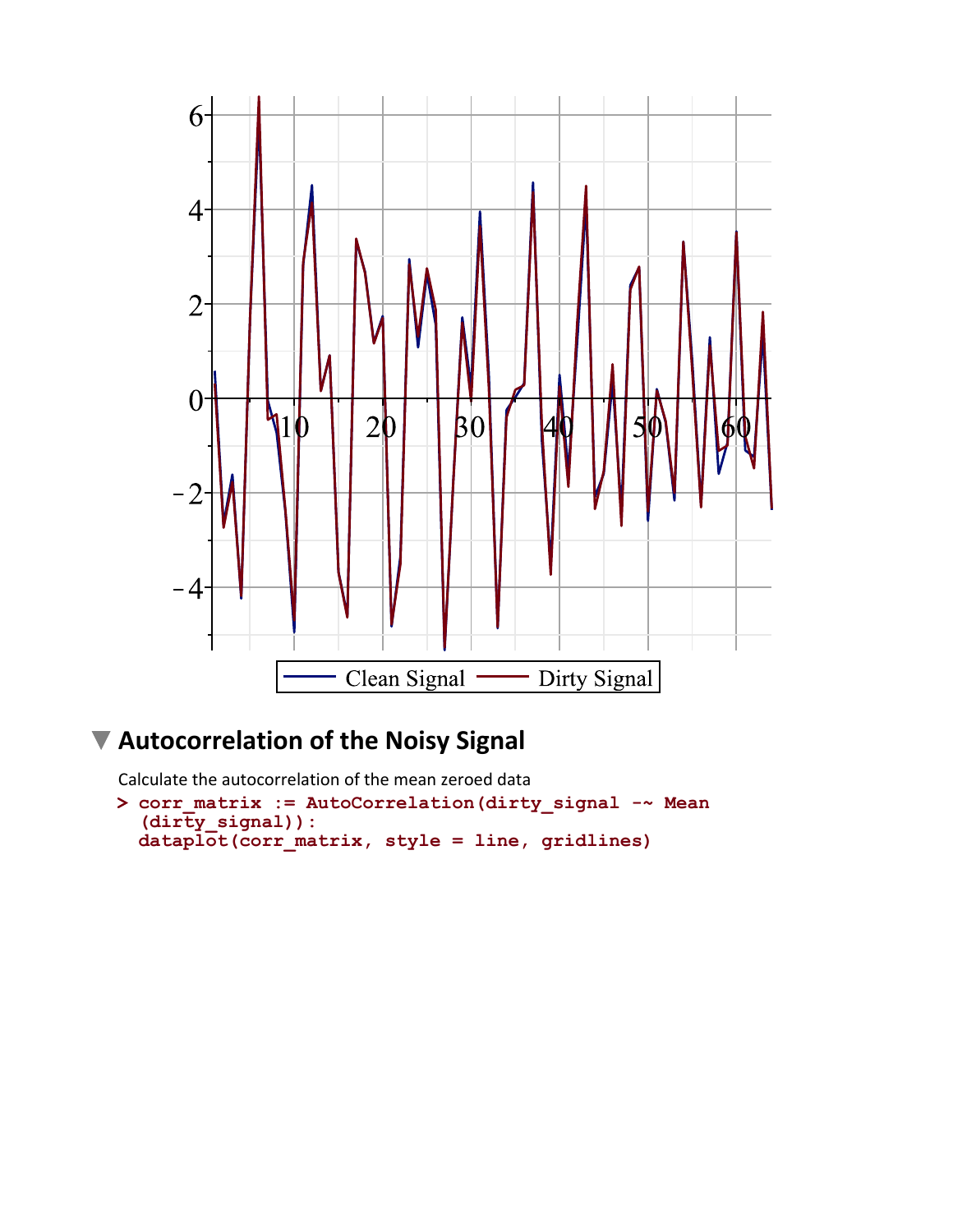

# **Autocorrelation of the Noisy Signal**

Calculate the autocorrelation of the mean zeroed data

```
> 
corr_matrix := AutoCorrelation(dirty_signal -~ Mean
  (dirty_signal)):
 dataplot(corr_matrix, style = line, gridlines)
```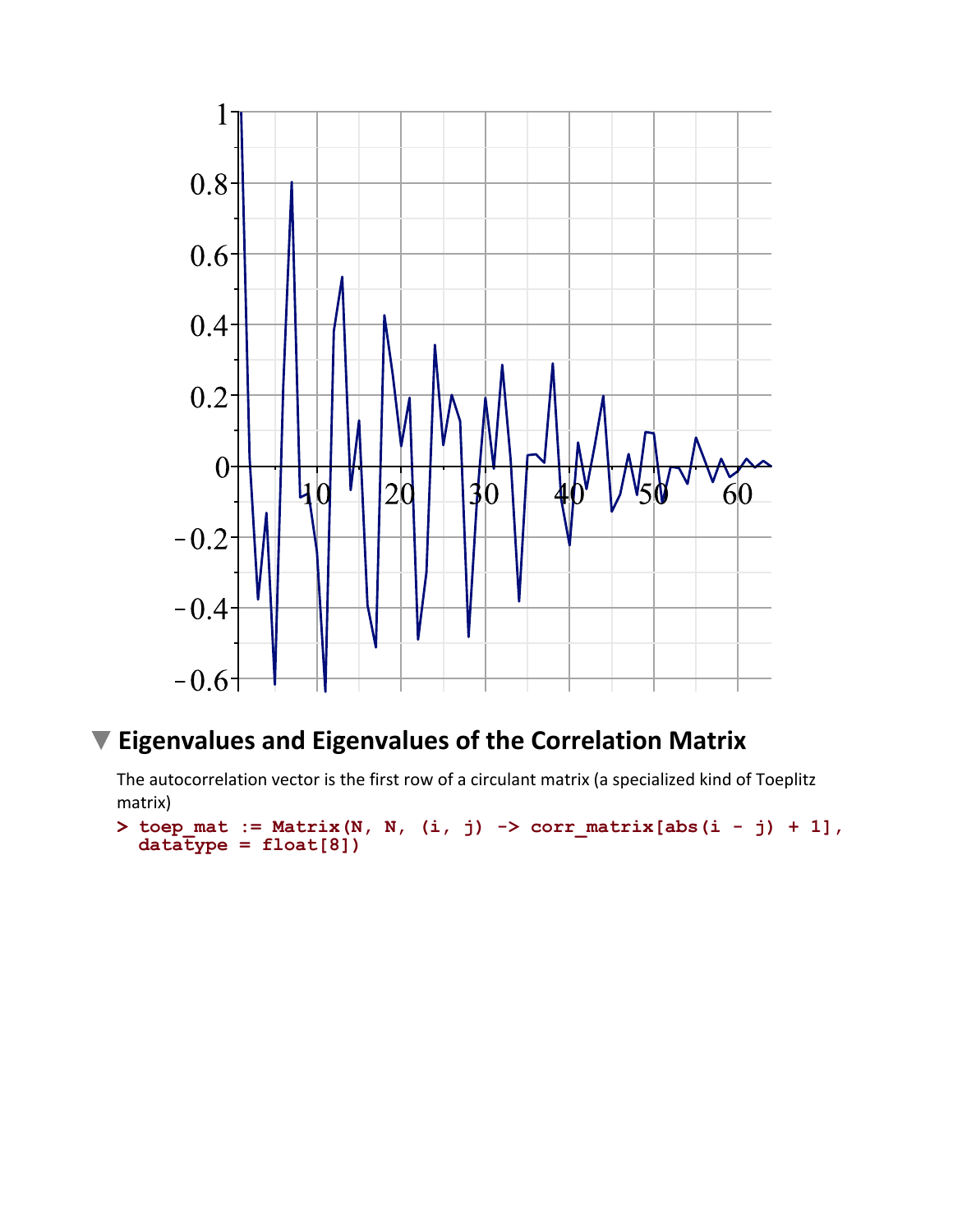

## **Eigenvalues and Eigenvalues of the Correlation Matrix**

The autocorrelation vector is the first row of a circulant matrix (a specialized kind of Toeplitz matrix)

```
> 
toep_mat := Matrix(N, N, (i, j) -> corr_matrix[abs(i - j) + 1],
 dataType = float[8]
```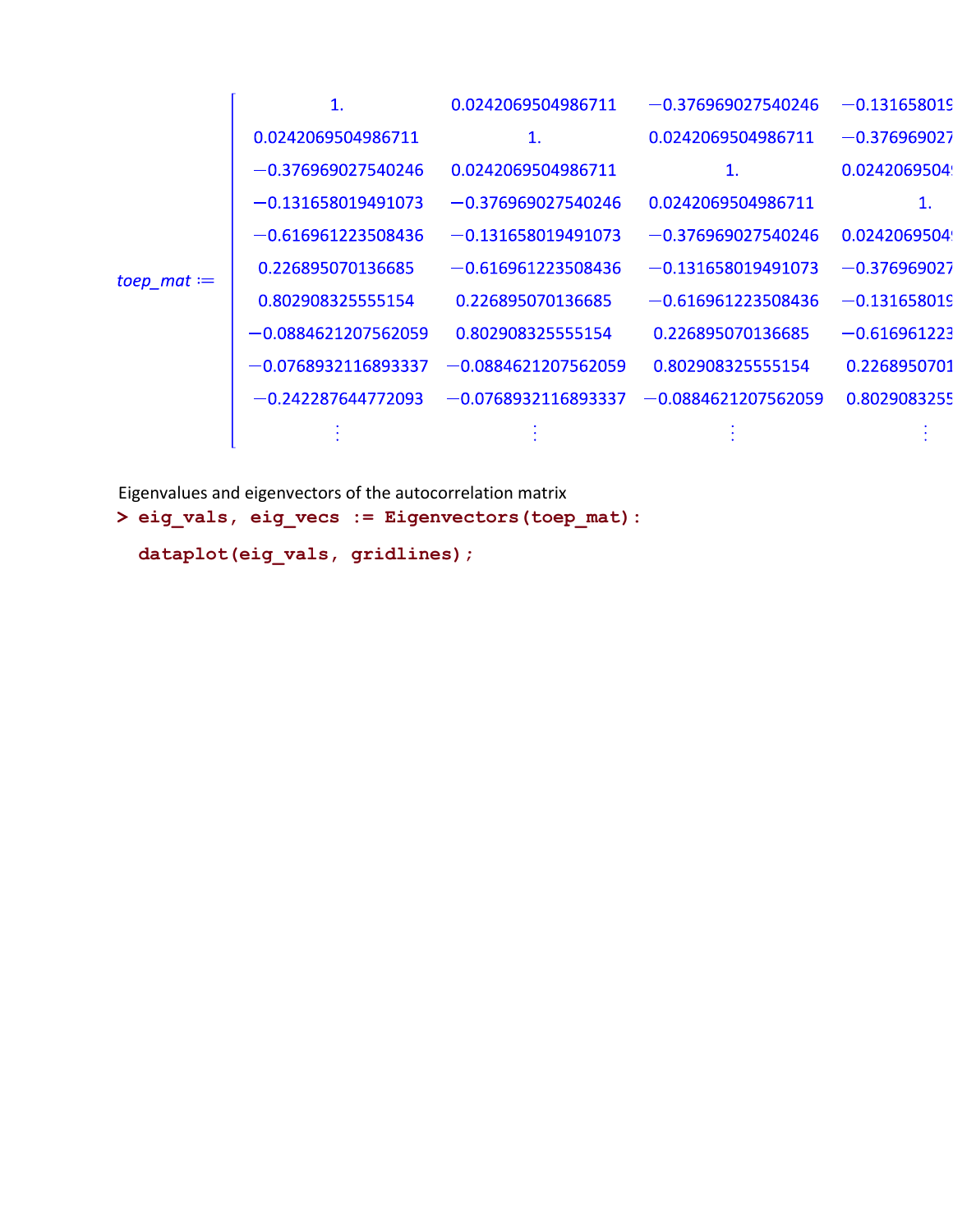|                | 1.                    | 0.0242069504986711    | $-0.376969027540246$  | $-0.131658019$ |
|----------------|-----------------------|-----------------------|-----------------------|----------------|
| $toep\_mat :=$ | 0.0242069504986711    | 1.                    | 0.0242069504986711    | $-0.376969027$ |
|                | $-0.376969027540246$  | 0.0242069504986711    | $\mathbf{1}$ .        | 0.0242069504   |
|                | $-0.131658019491073$  | $-0.376969027540246$  | 0.0242069504986711    | 1.             |
|                | $-0.616961223508436$  | $-0.131658019491073$  | $-0.376969027540246$  | 0.0242069504   |
|                | 0.226895070136685     | $-0.616961223508436$  | $-0.131658019491073$  | $-0.376969027$ |
|                | 0.802908325555154     | 0.226895070136685     | $-0.616961223508436$  | $-0.131658019$ |
|                | $-0.0884621207562059$ | 0.802908325555154     | 0.226895070136685     | $-0.616961223$ |
|                | $-0.0768932116893337$ | $-0.0884621207562059$ | 0.802908325555154     | 0.2268950701   |
|                | $-0.242287644772093$  | $-0.0768932116893337$ | $-0.0884621207562059$ | 0.8029083255   |
|                |                       |                       |                       |                |

**> eig\_vals, eig\_vecs := Eigenvectors(toep\_mat):** Eigenvalues and eigenvectors of the autocorrelation matrix **dataplot(eig\_vals, gridlines);**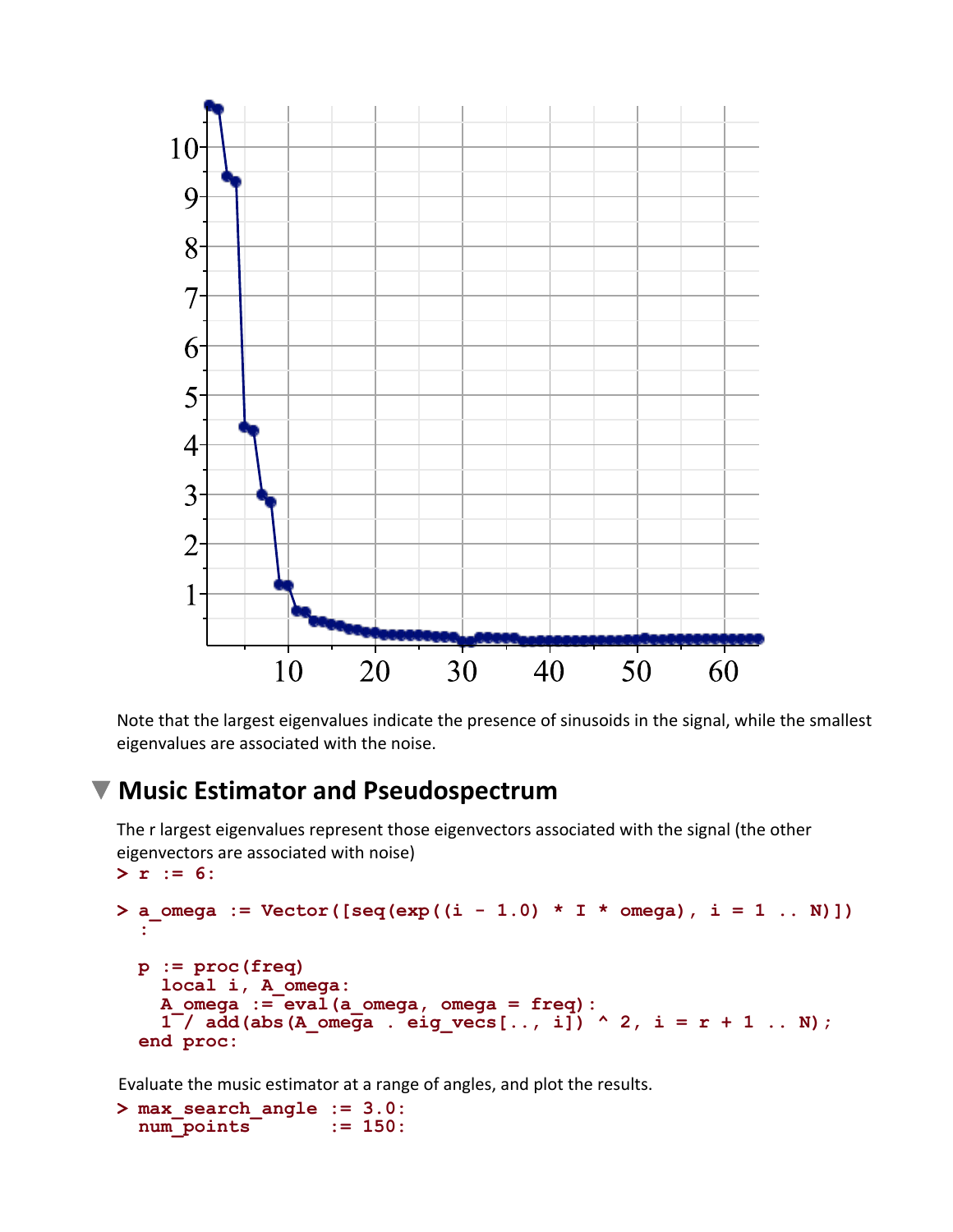

Note that the largest eigenvalues indicate the presence of sinusoids in the signal, while the smallest eigenvalues are associated with the noise.

#### **Music Estimator and Pseudospectrum**

The r largest eigenvalues represent those eigenvectors associated with the signal (the other eigenvectors are associated with noise)

```
> 
r := 6:
> 
a_omega := Vector([seq(exp((i - 1.0) * I * omega), i = 1 .. N)])
  :
 p := proc(freq) 
     local i, A_omega:
    A \text{omega} := \text{eval}(a \text{omega}, \text{omega}) = \text{freq}:1^{-}/ add(abs(A omega . eig vecs[.., i]) ^ 2, i = r + 1 .. N);
  end proc:
```
Evaluate the music estimator at a range of angles, and plot the results.

```
> 
max_search_angle := 3.0:
 num_points := 150:
```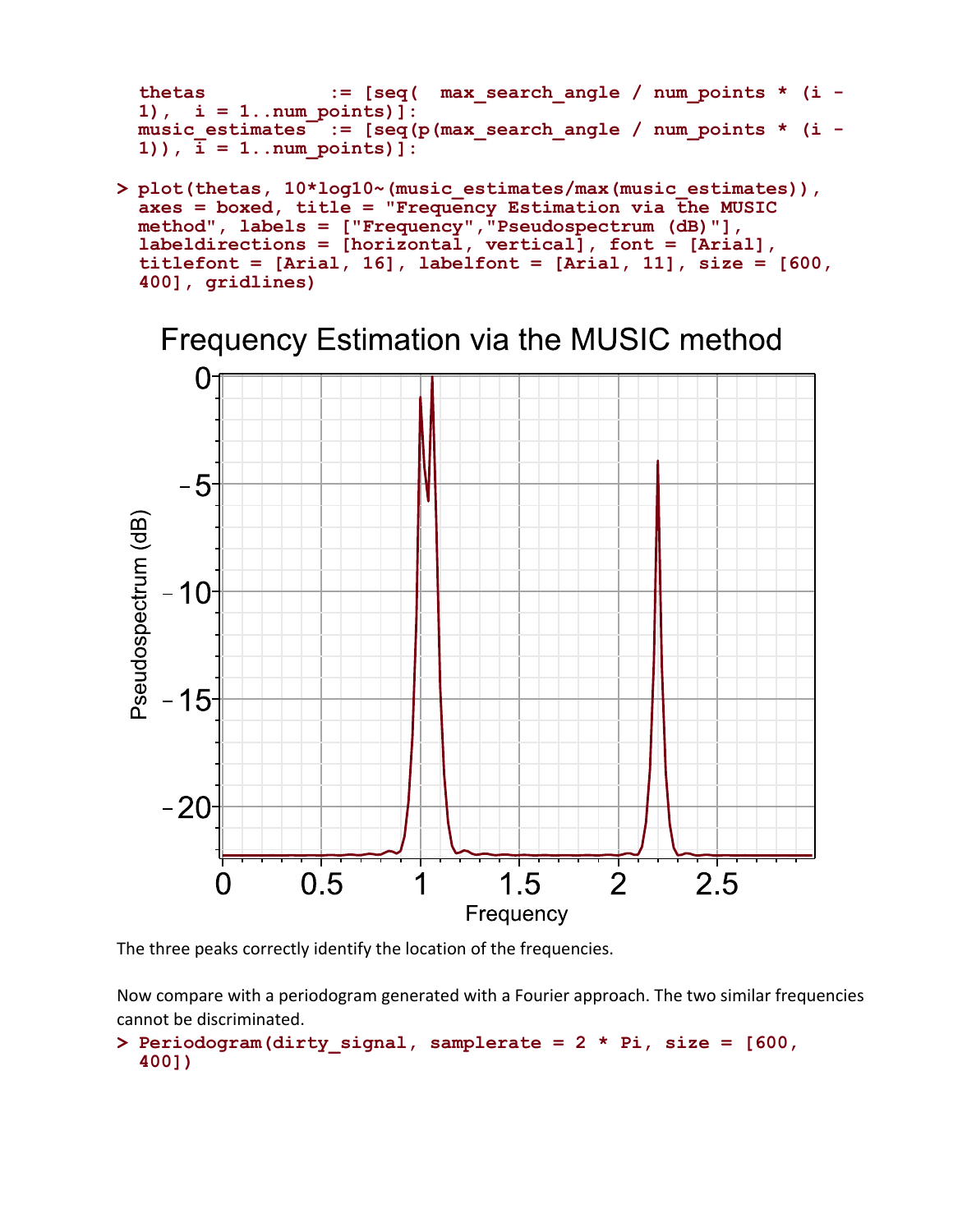```
thetas := [seq( max search angle / num points * (i -
1), i = 1..num_points)]:
music estimates := [seq(p(max search angle / num points * (i -
1)), \bar{i} = 1..num points)]:
```
**> plot(thetas, 10\*log10~(music\_estimates/max(music\_estimates)), axes = boxed, title = "Frequency Estimation via the MUSIC method", labels = ["Frequency","Pseudospectrum (dB)"], labeldirections = [horizontal, vertical], font = [Arial], titlefont = [Arial, 16], labelfont = [Arial, 11], size = [600, 400], gridlines)**

Frequency Estimation via the MUSIC method



The three peaks correctly identify the location of the frequencies.

Now compare with a periodogram generated with a Fourier approach. The two similar frequencies cannot be discriminated.

**> Periodogram(dirty\_signal, samplerate = 2 \* Pi, size = [600, 400])**